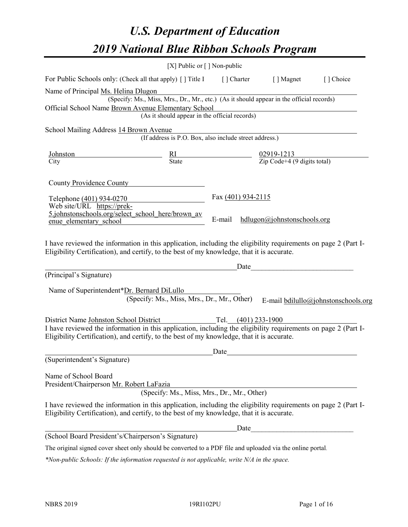# *U.S. Department of Education 2019 National Blue Ribbon Schools Program*

|                                                                                                                                                                                                              | [X] Public or $\lceil$ ] Non-public                                                      |                     |                                                         |                                     |
|--------------------------------------------------------------------------------------------------------------------------------------------------------------------------------------------------------------|------------------------------------------------------------------------------------------|---------------------|---------------------------------------------------------|-------------------------------------|
| For Public Schools only: (Check all that apply) [] Title I                                                                                                                                                   |                                                                                          | [] Charter          | [ ] Magnet                                              | [] Choice                           |
| Name of Principal Ms. Helina Dlugon                                                                                                                                                                          |                                                                                          |                     |                                                         |                                     |
|                                                                                                                                                                                                              | (Specify: Ms., Miss, Mrs., Dr., Mr., etc.) (As it should appear in the official records) |                     |                                                         |                                     |
| Official School Name Brown Avenue Elementary School                                                                                                                                                          |                                                                                          |                     |                                                         |                                     |
|                                                                                                                                                                                                              | (As it should appear in the official records)                                            |                     |                                                         |                                     |
| School Mailing Address 14 Brown Avenue                                                                                                                                                                       | (If address is P.O. Box, also include street address.)                                   |                     |                                                         |                                     |
|                                                                                                                                                                                                              |                                                                                          |                     |                                                         |                                     |
| Johnston                                                                                                                                                                                                     | $rac{RI}{State}$                                                                         |                     | $\frac{02919-1213}{\text{Zip Code}+4 (9 digits total)}$ |                                     |
| City                                                                                                                                                                                                         |                                                                                          |                     |                                                         |                                     |
| County Providence County                                                                                                                                                                                     |                                                                                          |                     |                                                         |                                     |
| Telephone (401) 934-0270                                                                                                                                                                                     |                                                                                          | Fax (401) 934-2115  |                                                         |                                     |
| Web site/URL https://prek-                                                                                                                                                                                   |                                                                                          |                     |                                                         |                                     |
| 5.johnstonschools.org/select_school_here/brown_av                                                                                                                                                            |                                                                                          | E-mail              | hdlugon@johnstonschools.org                             |                                     |
| enue elementary school                                                                                                                                                                                       |                                                                                          |                     |                                                         |                                     |
| Eligibility Certification), and certify, to the best of my knowledge, that it is accurate.<br>(Principal's Signature)                                                                                        |                                                                                          | Date                |                                                         |                                     |
|                                                                                                                                                                                                              |                                                                                          |                     |                                                         |                                     |
| Name of Superintendent*Dr. Bernard DiLullo                                                                                                                                                                   |                                                                                          |                     |                                                         |                                     |
|                                                                                                                                                                                                              | (Specify: Ms., Miss, Mrs., Dr., Mr., Other)                                              |                     |                                                         | E-mail bdilullo@johnstonschools.org |
| District Name Johnston School District                                                                                                                                                                       |                                                                                          | Tel. (401) 233-1900 |                                                         |                                     |
| I have reviewed the information in this application, including the eligibility requirements on page 2 (Part I-                                                                                               |                                                                                          |                     |                                                         |                                     |
| Eligibility Certification), and certify, to the best of my knowledge, that it is accurate.                                                                                                                   |                                                                                          |                     |                                                         |                                     |
|                                                                                                                                                                                                              |                                                                                          | Date                |                                                         |                                     |
| (Superintendent's Signature)                                                                                                                                                                                 |                                                                                          |                     |                                                         |                                     |
| Name of School Board                                                                                                                                                                                         |                                                                                          |                     |                                                         |                                     |
| President/Chairperson Mr. Robert LaFazia                                                                                                                                                                     |                                                                                          |                     |                                                         |                                     |
|                                                                                                                                                                                                              | (Specify: Ms., Miss, Mrs., Dr., Mr., Other)                                              |                     |                                                         |                                     |
| I have reviewed the information in this application, including the eligibility requirements on page 2 (Part I-<br>Eligibility Certification), and certify, to the best of my knowledge, that it is accurate. |                                                                                          |                     |                                                         |                                     |
|                                                                                                                                                                                                              |                                                                                          | Date                |                                                         |                                     |
| (School Board President's/Chairperson's Signature)                                                                                                                                                           |                                                                                          |                     |                                                         |                                     |
| The original signed cover sheet only should be converted to a PDF file and uploaded via the online portal.                                                                                                   |                                                                                          |                     |                                                         |                                     |

*\*Non-public Schools: If the information requested is not applicable, write N/A in the space.*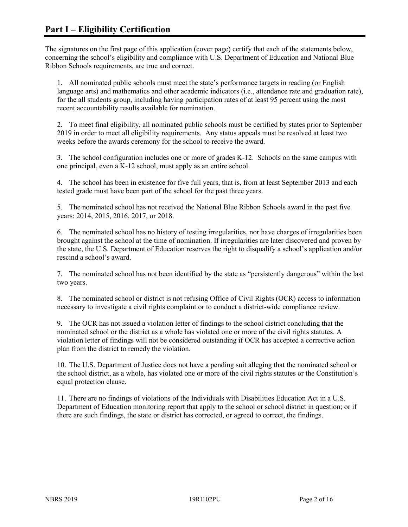The signatures on the first page of this application (cover page) certify that each of the statements below, concerning the school's eligibility and compliance with U.S. Department of Education and National Blue Ribbon Schools requirements, are true and correct.

1. All nominated public schools must meet the state's performance targets in reading (or English language arts) and mathematics and other academic indicators (i.e., attendance rate and graduation rate), for the all students group, including having participation rates of at least 95 percent using the most recent accountability results available for nomination.

2. To meet final eligibility, all nominated public schools must be certified by states prior to September 2019 in order to meet all eligibility requirements. Any status appeals must be resolved at least two weeks before the awards ceremony for the school to receive the award.

3. The school configuration includes one or more of grades K-12. Schools on the same campus with one principal, even a K-12 school, must apply as an entire school.

4. The school has been in existence for five full years, that is, from at least September 2013 and each tested grade must have been part of the school for the past three years.

5. The nominated school has not received the National Blue Ribbon Schools award in the past five years: 2014, 2015, 2016, 2017, or 2018.

6. The nominated school has no history of testing irregularities, nor have charges of irregularities been brought against the school at the time of nomination. If irregularities are later discovered and proven by the state, the U.S. Department of Education reserves the right to disqualify a school's application and/or rescind a school's award.

7. The nominated school has not been identified by the state as "persistently dangerous" within the last two years.

8. The nominated school or district is not refusing Office of Civil Rights (OCR) access to information necessary to investigate a civil rights complaint or to conduct a district-wide compliance review.

9. The OCR has not issued a violation letter of findings to the school district concluding that the nominated school or the district as a whole has violated one or more of the civil rights statutes. A violation letter of findings will not be considered outstanding if OCR has accepted a corrective action plan from the district to remedy the violation.

10. The U.S. Department of Justice does not have a pending suit alleging that the nominated school or the school district, as a whole, has violated one or more of the civil rights statutes or the Constitution's equal protection clause.

11. There are no findings of violations of the Individuals with Disabilities Education Act in a U.S. Department of Education monitoring report that apply to the school or school district in question; or if there are such findings, the state or district has corrected, or agreed to correct, the findings.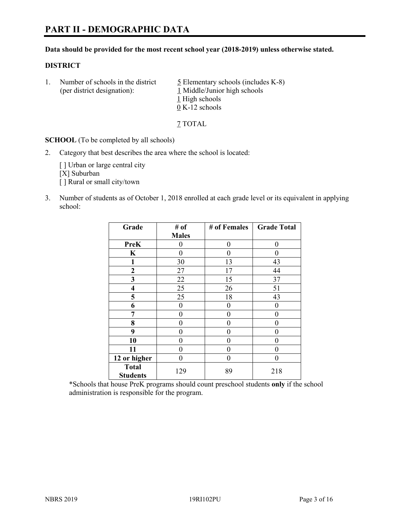#### **Data should be provided for the most recent school year (2018-2019) unless otherwise stated.**

#### **DISTRICT**

1. Number of schools in the district  $\frac{5}{2}$  Elementary schools (includes K-8) (per district designation): 1 Middle/Junior high schools 1 High schools 0 K-12 schools

7 TOTAL

**SCHOOL** (To be completed by all schools)

2. Category that best describes the area where the school is located:

[ ] Urban or large central city [X] Suburban [] Rural or small city/town

3. Number of students as of October 1, 2018 enrolled at each grade level or its equivalent in applying school:

| Grade                           | # of         | # of Females | <b>Grade Total</b> |
|---------------------------------|--------------|--------------|--------------------|
|                                 | <b>Males</b> |              |                    |
| <b>PreK</b>                     | 0            | $\theta$     | 0                  |
| $\mathbf K$                     | 0            | 0            | 0                  |
| 1                               | 30           | 13           | 43                 |
| $\mathbf{2}$                    | 27           | 17           | 44                 |
| 3                               | 22           | 15           | 37                 |
| 4                               | 25           | 26           | 51                 |
| 5                               | 25           | 18           | 43                 |
| 6                               | 0            | $\theta$     | 0                  |
| 7                               | 0            | 0            | 0                  |
| 8                               | 0            | 0            | 0                  |
| 9                               | 0            | 0            | 0                  |
| 10                              | 0            | 0            | 0                  |
| 11                              | 0            | 0            | 0                  |
| 12 or higher                    | $\theta$     | $\theta$     | 0                  |
| <b>Total</b><br><b>Students</b> | 129          | 89           | 218                |

\*Schools that house PreK programs should count preschool students **only** if the school administration is responsible for the program.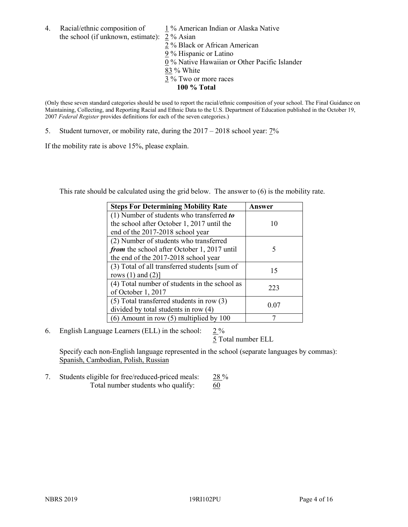4. Racial/ethnic composition of  $1\%$  American Indian or Alaska Native the school (if unknown, estimate): 2 % Asian

 % Black or African American % Hispanic or Latino % Native Hawaiian or Other Pacific Islander 83 % White % Two or more races **100 % Total**

(Only these seven standard categories should be used to report the racial/ethnic composition of your school. The Final Guidance on Maintaining, Collecting, and Reporting Racial and Ethnic Data to the U.S. Department of Education published in the October 19, 2007 *Federal Register* provides definitions for each of the seven categories.)

5. Student turnover, or mobility rate, during the 2017 – 2018 school year: 7%

If the mobility rate is above 15%, please explain.

This rate should be calculated using the grid below. The answer to (6) is the mobility rate.

| <b>Steps For Determining Mobility Rate</b>    | Answer |
|-----------------------------------------------|--------|
| (1) Number of students who transferred to     |        |
| the school after October 1, 2017 until the    | 10     |
| end of the 2017-2018 school year              |        |
| (2) Number of students who transferred        |        |
| from the school after October 1, 2017 until   | 5      |
| the end of the 2017-2018 school year          |        |
| (3) Total of all transferred students [sum of | 15     |
| rows $(1)$ and $(2)$ ]                        |        |
| (4) Total number of students in the school as | 223    |
| of October 1, 2017                            |        |
| $(5)$ Total transferred students in row $(3)$ |        |
| divided by total students in row (4)          | 0.07   |
| $(6)$ Amount in row $(5)$ multiplied by 100   |        |

6. English Language Learners (ELL) in the school:  $2\%$ 

5 Total number ELL

Specify each non-English language represented in the school (separate languages by commas): Spanish, Cambodian, Polish, Russian

7. Students eligible for free/reduced-priced meals: 28 % Total number students who qualify:  $\frac{60}{60}$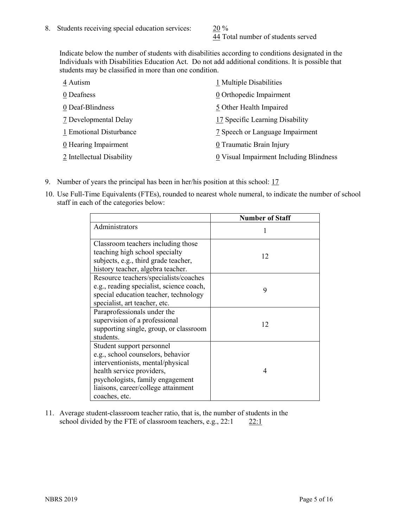44 Total number of students served

Indicate below the number of students with disabilities according to conditions designated in the Individuals with Disabilities Education Act. Do not add additional conditions. It is possible that students may be classified in more than one condition.

| 4 Autism                  | 1 Multiple Disabilities                 |
|---------------------------|-----------------------------------------|
| 0 Deafness                | 0 Orthopedic Impairment                 |
| 0 Deaf-Blindness          | 5 Other Health Impaired                 |
| 7 Developmental Delay     | 17 Specific Learning Disability         |
| 1 Emotional Disturbance   | 7 Speech or Language Impairment         |
| 0 Hearing Impairment      | 0 Traumatic Brain Injury                |
| 2 Intellectual Disability | 0 Visual Impairment Including Blindness |

- 9. Number of years the principal has been in her/his position at this school: 17
- 10. Use Full-Time Equivalents (FTEs), rounded to nearest whole numeral, to indicate the number of school staff in each of the categories below:

|                                                                                                                                                                                                                              | <b>Number of Staff</b> |
|------------------------------------------------------------------------------------------------------------------------------------------------------------------------------------------------------------------------------|------------------------|
| Administrators                                                                                                                                                                                                               |                        |
| Classroom teachers including those<br>teaching high school specialty<br>subjects, e.g., third grade teacher,<br>history teacher, algebra teacher.                                                                            | 12                     |
| Resource teachers/specialists/coaches<br>e.g., reading specialist, science coach,<br>special education teacher, technology<br>specialist, art teacher, etc.                                                                  | 9                      |
| Paraprofessionals under the<br>supervision of a professional<br>supporting single, group, or classroom<br>students.                                                                                                          | 12                     |
| Student support personnel<br>e.g., school counselors, behavior<br>interventionists, mental/physical<br>health service providers,<br>psychologists, family engagement<br>liaisons, career/college attainment<br>coaches, etc. | 4                      |

11. Average student-classroom teacher ratio, that is, the number of students in the school divided by the FTE of classroom teachers, e.g.,  $22:1$  22:1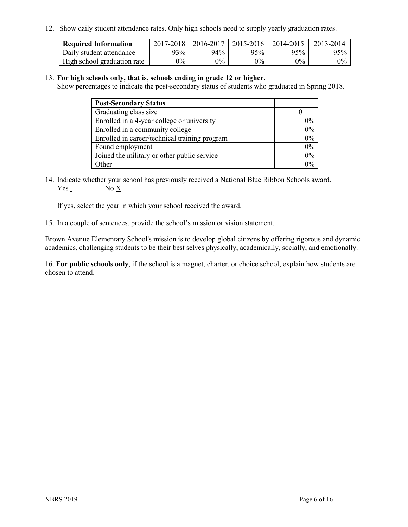12. Show daily student attendance rates. Only high schools need to supply yearly graduation rates.

| <b>Required Information</b> | 2017-2018 | 2016-2017 | $2015 - 2016$ | 2014-2015 | 2013-2014 |
|-----------------------------|-----------|-----------|---------------|-----------|-----------|
| Daily student attendance    | 93%       | 94%       | 95%           | 95%       | 95%       |
| High school graduation rate | $0\%$     | $0\%$     | $0\%$         | $9\%$     | $0\%$     |

#### 13. **For high schools only, that is, schools ending in grade 12 or higher.**

Show percentages to indicate the post-secondary status of students who graduated in Spring 2018.

| <b>Post-Secondary Status</b>                  |       |
|-----------------------------------------------|-------|
| Graduating class size                         |       |
| Enrolled in a 4-year college or university    | $0\%$ |
| Enrolled in a community college               | 0%    |
| Enrolled in career/technical training program | 0%    |
| Found employment                              | 0%    |
| Joined the military or other public service   | 0%    |
| Other                                         | $0\%$ |

14. Indicate whether your school has previously received a National Blue Ribbon Schools award. Yes No X

If yes, select the year in which your school received the award.

15. In a couple of sentences, provide the school's mission or vision statement.

Brown Avenue Elementary School's mission is to develop global citizens by offering rigorous and dynamic academics, challenging students to be their best selves physically, academically, socially, and emotionally.

16. **For public schools only**, if the school is a magnet, charter, or choice school, explain how students are chosen to attend.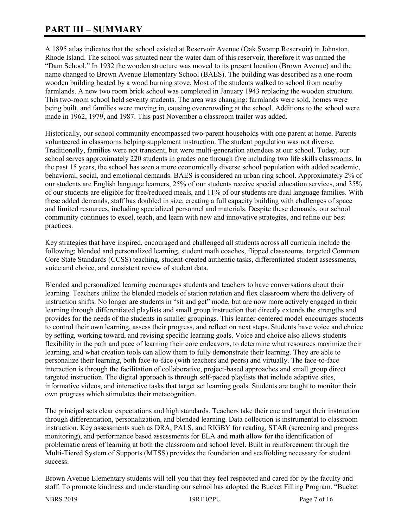# **PART III – SUMMARY**

A 1895 atlas indicates that the school existed at Reservoir Avenue (Oak Swamp Reservoir) in Johnston, Rhode Island. The school was situated near the water dam of this reservoir, therefore it was named the "Dam School." In 1932 the wooden structure was moved to its present location (Brown Avenue) and the name changed to Brown Avenue Elementary School (BAES). The building was described as a one-room wooden building heated by a wood burning stove. Most of the students walked to school from nearby farmlands. A new two room brick school was completed in January 1943 replacing the wooden structure. This two-room school held seventy students. The area was changing: farmlands were sold, homes were being built, and families were moving in, causing overcrowding at the school. Additions to the school were made in 1962, 1979, and 1987. This past November a classroom trailer was added.

Historically, our school community encompassed two-parent households with one parent at home. Parents volunteered in classrooms helping supplement instruction. The student population was not diverse. Traditionally, families were not transient, but were multi-generation attendees at our school. Today, our school serves approximately 220 students in grades one through five including two life skills classrooms. In the past 15 years, the school has seen a more economically diverse school population with added academic, behavioral, social, and emotional demands. BAES is considered an urban ring school. Approximately 2% of our students are English language learners, 25% of our students receive special education services, and 35% of our students are eligible for free/reduced meals, and 11% of our students are dual language families. With these added demands, staff has doubled in size, creating a full capacity building with challenges of space and limited resources, including specialized personnel and materials. Despite these demands, our school community continues to excel, teach, and learn with new and innovative strategies, and refine our best practices.

Key strategies that have inspired, encouraged and challenged all students across all curricula include the following: blended and personalized learning, student math coaches, flipped classrooms, targeted Common Core State Standards (CCSS) teaching, student-created authentic tasks, differentiated student assessments, voice and choice, and consistent review of student data.

Blended and personalized learning encourages students and teachers to have conversations about their learning. Teachers utilize the blended models of station rotation and flex classroom where the delivery of instruction shifts. No longer are students in "sit and get" mode, but are now more actively engaged in their learning through differentiated playlists and small group instruction that directly extends the strengths and provides for the needs of the students in smaller groupings. This learner-centered model encourages students to control their own learning, assess their progress, and reflect on next steps. Students have voice and choice by setting, working toward, and revising specific learning goals. Voice and choice also allows students flexibility in the path and pace of learning their core endeavors, to determine what resources maximize their learning, and what creation tools can allow them to fully demonstrate their learning. They are able to personalize their learning, both face-to-face (with teachers and peers) and virtually. The face-to-face interaction is through the facilitation of collaborative, project-based approaches and small group direct targeted instruction. The digital approach is through self-paced playlists that include adaptive sites, informative videos, and interactive tasks that target set learning goals. Students are taught to monitor their own progress which stimulates their metacognition.

The principal sets clear expectations and high standards. Teachers take their cue and target their instruction through differentiation, personalization, and blended learning. Data collection is instrumental to classroom instruction. Key assessments such as DRA, PALS, and RIGBY for reading, STAR (screening and progress monitoring), and performance based assessments for ELA and math allow for the identification of problematic areas of learning at both the classroom and school level. Built in reinforcement through the Multi-Tiered System of Supports (MTSS) provides the foundation and scaffolding necessary for student success.

Brown Avenue Elementary students will tell you that they feel respected and cared for by the faculty and staff. To promote kindness and understanding our school has adopted the Bucket Filling Program. "Bucket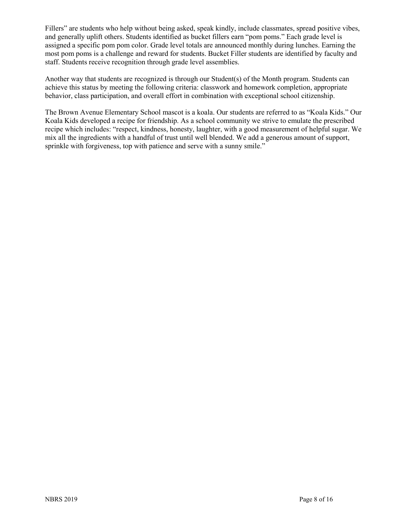Fillers" are students who help without being asked, speak kindly, include classmates, spread positive vibes, and generally uplift others. Students identified as bucket fillers earn "pom poms." Each grade level is assigned a specific pom pom color. Grade level totals are announced monthly during lunches. Earning the most pom poms is a challenge and reward for students. Bucket Filler students are identified by faculty and staff. Students receive recognition through grade level assemblies.

Another way that students are recognized is through our Student(s) of the Month program. Students can achieve this status by meeting the following criteria: classwork and homework completion, appropriate behavior, class participation, and overall effort in combination with exceptional school citizenship.

The Brown Avenue Elementary School mascot is a koala. Our students are referred to as "Koala Kids." Our Koala Kids developed a recipe for friendship. As a school community we strive to emulate the prescribed recipe which includes: "respect, kindness, honesty, laughter, with a good measurement of helpful sugar. We mix all the ingredients with a handful of trust until well blended. We add a generous amount of support, sprinkle with forgiveness, top with patience and serve with a sunny smile."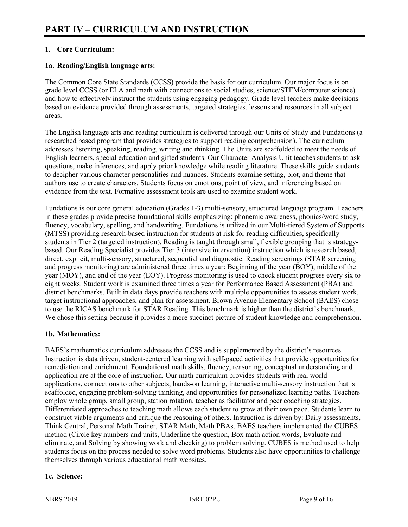# **1. Core Curriculum:**

## **1a. Reading/English language arts:**

The Common Core State Standards (CCSS) provide the basis for our curriculum. Our major focus is on grade level CCSS (or ELA and math with connections to social studies, science/STEM/computer science) and how to effectively instruct the students using engaging pedagogy. Grade level teachers make decisions based on evidence provided through assessments, targeted strategies, lessons and resources in all subject areas.

The English language arts and reading curriculum is delivered through our Units of Study and Fundations (a researched based program that provides strategies to support reading comprehension). The curriculum addresses listening, speaking, reading, writing and thinking. The Units are scaffolded to meet the needs of English learners, special education and gifted students. Our Character Analysis Unit teaches students to ask questions, make inferences, and apply prior knowledge while reading literature. These skills guide students to decipher various character personalities and nuances. Students examine setting, plot, and theme that authors use to create characters. Students focus on emotions, point of view, and inferencing based on evidence from the text. Formative assessment tools are used to examine student work.

Fundations is our core general education (Grades 1-3) multi-sensory, structured language program. Teachers in these grades provide precise foundational skills emphasizing: phonemic awareness, phonics/word study, fluency, vocabulary, spelling, and handwriting. Fundations is utilized in our Multi-tiered System of Supports (MTSS) providing research-based instruction for students at risk for reading difficulties, specifically students in Tier 2 (targeted instruction). Reading is taught through small, flexible grouping that is strategybased. Our Reading Specialist provides Tier 3 (intensive intervention) instruction which is research based, direct, explicit, multi-sensory, structured, sequential and diagnostic. Reading screenings (STAR screening and progress monitoring) are administered three times a year: Beginning of the year (BOY), middle of the year (MOY), and end of the year (EOY). Progress monitoring is used to check student progress every six to eight weeks. Student work is examined three times a year for Performance Based Assessment (PBA) and district benchmarks. Built in data days provide teachers with multiple opportunities to assess student work, target instructional approaches, and plan for assessment. Brown Avenue Elementary School (BAES) chose to use the RICAS benchmark for STAR Reading. This benchmark is higher than the district's benchmark. We chose this setting because it provides a more succinct picture of student knowledge and comprehension.

#### **1b. Mathematics:**

BAES's mathematics curriculum addresses the CCSS and is supplemented by the district's resources. Instruction is data driven, student-centered learning with self-paced activities that provide opportunities for remediation and enrichment. Foundational math skills, fluency, reasoning, conceptual understanding and application are at the core of instruction. Our math curriculum provides students with real world applications, connections to other subjects, hands-on learning, interactive multi-sensory instruction that is scaffolded, engaging problem-solving thinking, and opportunities for personalized learning paths. Teachers employ whole group, small group, station rotation, teacher as facilitator and peer coaching strategies. Differentiated approaches to teaching math allows each student to grow at their own pace. Students learn to construct viable arguments and critique the reasoning of others. Instruction is driven by: Daily assessments, Think Central, Personal Math Trainer, STAR Math, Math PBAs. BAES teachers implemented the CUBES method (Circle key numbers and units, Underline the question, Box math action words, Evaluate and eliminate, and Solving by showing work and checking) to problem solving. CUBES is method used to help students focus on the process needed to solve word problems. Students also have opportunities to challenge themselves through various educational math websites.

# **1c. Science:**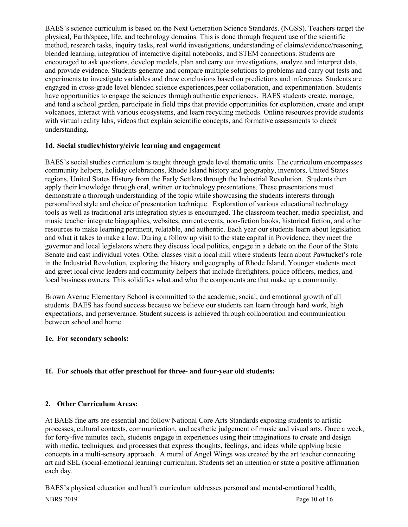BAES's science curriculum is based on the Next Generation Science Standards. (NGSS). Teachers target the physical, Earth/space, life, and technology domains. This is done through frequent use of the scientific method, research tasks, inquiry tasks, real world investigations, understanding of claims/evidence/reasoning, blended learning, integration of interactive digital notebooks, and STEM connections. Students are encouraged to ask questions, develop models, plan and carry out investigations, analyze and interpret data, and provide evidence. Students generate and compare multiple solutions to problems and carry out tests and experiments to investigate variables and draw conclusions based on predictions and inferences. Students are engaged in cross-grade level blended science experiences,peer collaboration, and experimentation. Students have opportunities to engage the sciences through authentic experiences. BAES students create, manage, and tend a school garden, participate in field trips that provide opportunities for exploration, create and erupt volcanoes, interact with various ecosystems, and learn recycling methods. Online resources provide students with virtual reality labs, videos that explain scientific concepts, and formative assessments to check understanding.

#### **1d. Social studies/history/civic learning and engagement**

BAES's social studies curriculum is taught through grade level thematic units. The curriculum encompasses community helpers, holiday celebrations, Rhode Island history and geography, inventors, United States regions, United States History from the Early Settlers through the Industrial Revolution. Students then apply their knowledge through oral, written or technology presentations. These presentations must demonstrate a thorough understanding of the topic while showcasing the students interests through personalized style and choice of presentation technique. Exploration of various educational technology tools as well as traditional arts integration styles is encouraged. The classroom teacher, media specialist, and music teacher integrate biographies, websites, current events, non-fiction books, historical fiction, and other resources to make learning pertinent, relatable, and authentic. Each year our students learn about legislation and what it takes to make a law. During a follow up visit to the state capital in Providence, they meet the governor and local legislators where they discuss local politics, engage in a debate on the floor of the State Senate and cast individual votes. Other classes visit a local mill where students learn about Pawtucket's role in the Industrial Revolution, exploring the history and geography of Rhode Island. Younger students meet and greet local civic leaders and community helpers that include firefighters, police officers, medics, and local business owners. This solidifies what and who the components are that make up a community.

Brown Avenue Elementary School is committed to the academic, social, and emotional growth of all students. BAES has found success because we believe our students can learn through hard work, high expectations, and perseverance. Student success is achieved through collaboration and communication between school and home.

# **1e. For secondary schools:**

# **1f. For schools that offer preschool for three- and four-year old students:**

# **2. Other Curriculum Areas:**

At BAES fine arts are essential and follow National Core Arts Standards exposing students to artistic processes, cultural contexts, communication, and aesthetic judgement of music and visual arts. Once a week, for forty-five minutes each, students engage in experiences using their imaginations to create and design with media, techniques, and processes that express thoughts, feelings, and ideas while applying basic concepts in a multi-sensory approach. A mural of Angel Wings was created by the art teacher connecting art and SEL (social-emotional learning) curriculum. Students set an intention or state a positive affirmation each day.

BAES's physical education and health curriculum addresses personal and mental-emotional health,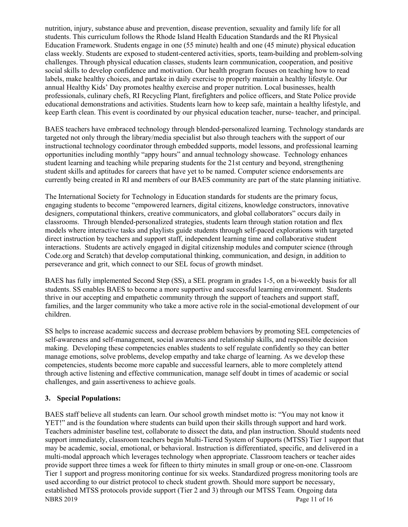nutrition, injury, substance abuse and prevention, disease prevention, sexuality and family life for all students. This curriculum follows the Rhode Island Health Education Standards and the RI Physical Education Framework. Students engage in one (55 minute) health and one (45 minute) physical education class weekly. Students are exposed to student-centered activities, sports, team-building and problem-solving challenges. Through physical education classes, students learn communication, cooperation, and positive social skills to develop confidence and motivation. Our health program focuses on teaching how to read labels, make healthy choices, and partake in daily exercise to properly maintain a healthy lifestyle. Our annual Healthy Kids' Day promotes healthy exercise and proper nutrition. Local businesses, health professionals, culinary chefs, RI Recycling Plant, firefighters and police officers, and State Police provide educational demonstrations and activities. Students learn how to keep safe, maintain a healthy lifestyle, and keep Earth clean. This event is coordinated by our physical education teacher, nurse- teacher, and principal.

BAES teachers have embraced technology through blended-personalized learning. Technology standards are targeted not only through the library/media specialist but also through teachers with the support of our instructional technology coordinator through embedded supports, model lessons, and professional learning opportunities including monthly "appy hours" and annual technology showcase. Technology enhances student learning and teaching while preparing students for the 21st century and beyond, strengthening student skills and aptitudes for careers that have yet to be named. Computer science endorsements are currently being created in RI and members of our BAES community are part of the state planning initiative.

The International Society for Technology in Education standards for students are the primary focus, engaging students to become "empowered learners, digital citizens, knowledge constructors, innovative designers, computational thinkers, creative communicators, and global collaborators" occurs daily in classrooms. Through blended-personalized strategies, students learn through station rotation and flex models where interactive tasks and playlists guide students through self-paced explorations with targeted direct instruction by teachers and support staff, independent learning time and collaborative student interactions. Students are actively engaged in digital citizenship modules and computer science (through Code.org and Scratch) that develop computational thinking, communication, and design, in addition to perseverance and grit, which connect to our SEL focus of growth mindset.

BAES has fully implemented Second Step (SS), a SEL program in grades 1-5, on a bi-weekly basis for all students. SS enables BAES to become a more supportive and successful learning environment. Students thrive in our accepting and empathetic community through the support of teachers and support staff, families, and the larger community who take a more active role in the social-emotional development of our children.

SS helps to increase academic success and decrease problem behaviors by promoting SEL competencies of self-awareness and self-management, social awareness and relationship skills, and responsible decision making. Developing these competencies enables students to self regulate confidently so they can better manage emotions, solve problems, develop empathy and take charge of learning. As we develop these competencies, students become more capable and successful learners, able to more completely attend through active listening and effective communication, manage self doubt in times of academic or social challenges, and gain assertiveness to achieve goals.

#### **3. Special Populations:**

NBRS 2019 Page 11 of 16 BAES staff believe all students can learn. Our school growth mindset motto is: "You may not know it YET!" and is the foundation where students can build upon their skills through support and hard work. Teachers administer baseline test, collaborate to dissect the data, and plan instruction. Should students need support immediately, classroom teachers begin Multi-Tiered System of Supports (MTSS) Tier 1 support that may be academic, social, emotional, or behavioral. Instruction is differentiated, specific, and delivered in a multi-modal approach which leverages technology when appropriate. Classroom teachers or teacher aides provide support three times a week for fifteen to thirty minutes in small group or one-on-one. Classroom Tier 1 support and progress monitoring continue for six weeks. Standardized progress monitoring tools are used according to our district protocol to check student growth. Should more support be necessary, established MTSS protocols provide support (Tier 2 and 3) through our MTSS Team. Ongoing data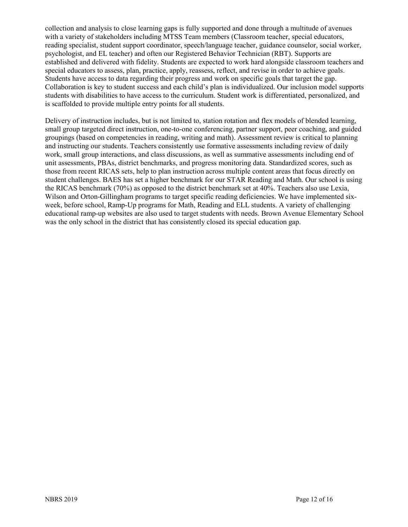collection and analysis to close learning gaps is fully supported and done through a multitude of avenues with a variety of stakeholders including MTSS Team members (Classroom teacher, special educators, reading specialist, student support coordinator, speech/language teacher, guidance counselor, social worker, psychologist, and EL teacher) and often our Registered Behavior Technician (RBT). Supports are established and delivered with fidelity. Students are expected to work hard alongside classroom teachers and special educators to assess, plan, practice, apply, reassess, reflect, and revise in order to achieve goals. Students have access to data regarding their progress and work on specific goals that target the gap. Collaboration is key to student success and each child's plan is individualized. Our inclusion model supports students with disabilities to have access to the curriculum. Student work is differentiated, personalized, and is scaffolded to provide multiple entry points for all students.

Delivery of instruction includes, but is not limited to, station rotation and flex models of blended learning, small group targeted direct instruction, one-to-one conferencing, partner support, peer coaching, and guided groupings (based on competencies in reading, writing and math). Assessment review is critical to planning and instructing our students. Teachers consistently use formative assessments including review of daily work, small group interactions, and class discussions, as well as summative assessments including end of unit assessments, PBAs, district benchmarks, and progress monitoring data. Standardized scores, such as those from recent RICAS sets, help to plan instruction across multiple content areas that focus directly on student challenges. BAES has set a higher benchmark for our STAR Reading and Math. Our school is using the RICAS benchmark (70%) as opposed to the district benchmark set at 40%. Teachers also use Lexia, Wilson and Orton-Gillingham programs to target specific reading deficiencies. We have implemented sixweek, before school, Ramp-Up programs for Math, Reading and ELL students. A variety of challenging educational ramp-up websites are also used to target students with needs. Brown Avenue Elementary School was the only school in the district that has consistently closed its special education gap.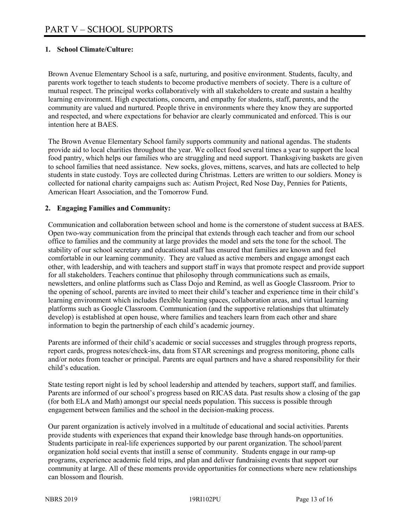# **1. School Climate/Culture:**

Brown Avenue Elementary School is a safe, nurturing, and positive environment. Students, faculty, and parents work together to teach students to become productive members of society. There is a culture of mutual respect. The principal works collaboratively with all stakeholders to create and sustain a healthy learning environment. High expectations, concern, and empathy for students, staff, parents, and the community are valued and nurtured. People thrive in environments where they know they are supported and respected, and where expectations for behavior are clearly communicated and enforced. This is our intention here at BAES.

The Brown Avenue Elementary School family supports community and national agendas. The students provide aid to local charities throughout the year. We collect food several times a year to support the local food pantry, which helps our families who are struggling and need support. Thanksgiving baskets are given to school families that need assistance. New socks, gloves, mittens, scarves, and hats are collected to help students in state custody. Toys are collected during Christmas. Letters are written to our soldiers. Money is collected for national charity campaigns such as: Autism Project, Red Nose Day, Pennies for Patients, American Heart Association, and the Tomorrow Fund.

#### **2. Engaging Families and Community:**

Communication and collaboration between school and home is the cornerstone of student success at BAES. Open two-way communication from the principal that extends through each teacher and from our school office to families and the community at large provides the model and sets the tone for the school. The stability of our school secretary and educational staff has ensured that families are known and feel comfortable in our learning community. They are valued as active members and engage amongst each other, with leadership, and with teachers and support staff in ways that promote respect and provide support for all stakeholders. Teachers continue that philosophy through communications such as emails, newsletters, and online platforms such as Class Dojo and Remind, as well as Google Classroom. Prior to the opening of school, parents are invited to meet their child's teacher and experience time in their child's learning environment which includes flexible learning spaces, collaboration areas, and virtual learning platforms such as Google Classroom. Communication (and the supportive relationships that ultimately develop) is established at open house, where families and teachers learn from each other and share information to begin the partnership of each child's academic journey.

Parents are informed of their child's academic or social successes and struggles through progress reports, report cards, progress notes/check-ins, data from STAR screenings and progress monitoring, phone calls and/or notes from teacher or principal. Parents are equal partners and have a shared responsibility for their child's education.

State testing report night is led by school leadership and attended by teachers, support staff, and families. Parents are informed of our school's progress based on RICAS data. Past results show a closing of the gap (for both ELA and Math) amongst our special needs population. This success is possible through engagement between families and the school in the decision-making process.

Our parent organization is actively involved in a multitude of educational and social activities. Parents provide students with experiences that expand their knowledge base through hands-on opportunities. Students participate in real-life experiences supported by our parent organization. The school/parent organization hold social events that instill a sense of community. Students engage in our ramp-up programs, experience academic field trips, and plan and deliver fundraising events that support our community at large. All of these moments provide opportunities for connections where new relationships can blossom and flourish.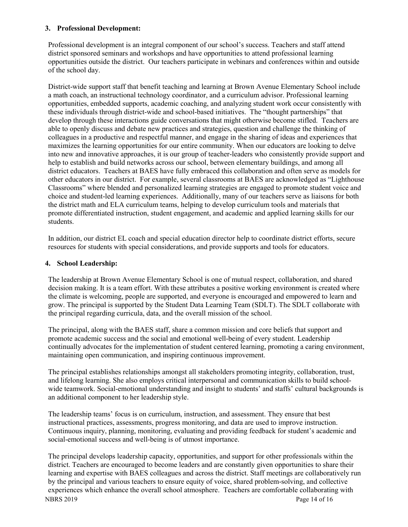#### **3. Professional Development:**

Professional development is an integral component of our school's success. Teachers and staff attend district sponsored seminars and workshops and have opportunities to attend professional learning opportunities outside the district. Our teachers participate in webinars and conferences within and outside of the school day.

District-wide support staff that benefit teaching and learning at Brown Avenue Elementary School include a math coach, an instructional technology coordinator, and a curriculum advisor. Professional learning opportunities, embedded supports, academic coaching, and analyzing student work occur consistently with these individuals through district-wide and school-based initiatives. The "thought partnerships" that develop through these interactions guide conversations that might otherwise become stifled. Teachers are able to openly discuss and debate new practices and strategies, question and challenge the thinking of colleagues in a productive and respectful manner, and engage in the sharing of ideas and experiences that maximizes the learning opportunities for our entire community. When our educators are looking to delve into new and innovative approaches, it is our group of teacher-leaders who consistently provide support and help to establish and build networks across our school, between elementary buildings, and among all district educators. Teachers at BAES have fully embraced this collaboration and often serve as models for other educators in our district. For example, several classrooms at BAES are acknowledged as "Lighthouse Classrooms" where blended and personalized learning strategies are engaged to promote student voice and choice and student-led learning experiences. Additionally, many of our teachers serve as liaisons for both the district math and ELA curriculum teams, helping to develop curriculum tools and materials that promote differentiated instruction, student engagement, and academic and applied learning skills for our students.

In addition, our district EL coach and special education director help to coordinate district efforts, secure resources for students with special considerations, and provide supports and tools for educators.

## **4. School Leadership:**

The leadership at Brown Avenue Elementary School is one of mutual respect, collaboration, and shared decision making. It is a team effort. With these attributes a positive working environment is created where the climate is welcoming, people are supported, and everyone is encouraged and empowered to learn and grow. The principal is supported by the Student Data Learning Team (SDLT). The SDLT collaborate with the principal regarding curricula, data, and the overall mission of the school.

The principal, along with the BAES staff, share a common mission and core beliefs that support and promote academic success and the social and emotional well-being of every student. Leadership continually advocates for the implementation of student centered learning, promoting a caring environment, maintaining open communication, and inspiring continuous improvement.

The principal establishes relationships amongst all stakeholders promoting integrity, collaboration, trust, and lifelong learning. She also employs critical interpersonal and communication skills to build schoolwide teamwork. Social-emotional understanding and insight to students' and staffs' cultural backgrounds is an additional component to her leadership style.

The leadership teams' focus is on curriculum, instruction, and assessment. They ensure that best instructional practices, assessments, progress monitoring, and data are used to improve instruction. Continuous inquiry, planning, monitoring, evaluating and providing feedback for student's academic and social-emotional success and well-being is of utmost importance.

NBRS 2019 Page 14 of 16 The principal develops leadership capacity, opportunities, and support for other professionals within the district. Teachers are encouraged to become leaders and are constantly given opportunities to share their learning and expertise with BAES colleagues and across the district. Staff meetings are collaboratively run by the principal and various teachers to ensure equity of voice, shared problem-solving, and collective experiences which enhance the overall school atmosphere. Teachers are comfortable collaborating with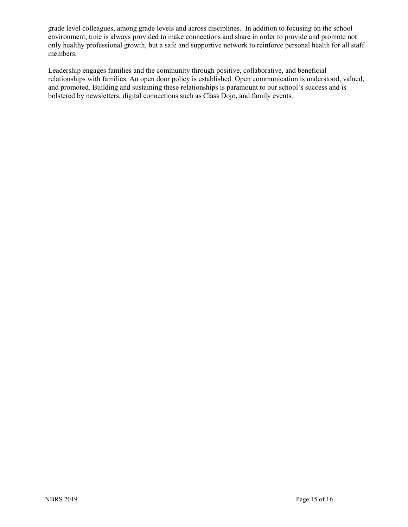grade level colleagues, among grade levels and across disciplines. In addition to focusing on the school environment, time is always provided to make connections and share in order to provide and promote not only healthy professional growth, but a safe and supportive network to reinforce personal health for all staff members.

Leadership engages families and the community through positive, collaborative, and beneficial relationships with families. An open door policy is established. Open communication is understood, valued, and promoted. Building and sustaining these relationships is paramount to our school's success and is bolstered by newsletters, digital connections such as Class Dojo, and family events.